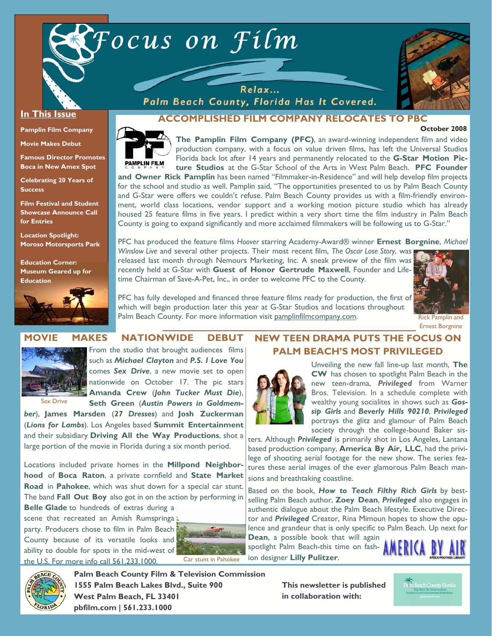



#### **In This Issue**

**Pamplin Film Company** 

**Movie Makes Debut** 

**Famous Director Promotes Boca in New Amex Spot** 

**Celebrating 20 Years of Success** 

**Film Festival and Student Showcase Announce Call for Entries** 

**Location Spotlight: Moroso Motorsports Park** 

**Education Corner: Museum Geared up for Education** 



Palm Beach County, Florida Has It Covered.



## **ACCOMPLISHED FILM COMPANY RELOCATES TO PBC**

#### **October 2008**



**The Pamplin Film Company (PFC)**, an award-winning independent film and video production company, with a focus on value driven films, has left the Universal Studios Florida back lot after 14 years and permanently relocated to the **G-Star Motion Picture Studios** at the G-Star School of the Arts in West Palm Beach. **PFC Founder and Owner Rick Pamplin** has been named "Filmmaker-in-Residence" and will help develop film projects

for the school and studio as well. Pamplin said, "The opportunities presented to us by Palm Beach County and G-Star were offers we couldn't refuse. Palm Beach County provides us with a film-friendly environment, world class locations, vendor support and a working motion picture studio which has already housed 25 feature films in five years. I predict within a very short time the film industry in Palm Beach County is going to expand significantly and more acclaimed filmmakers will be following us to G-Star."

PFC has produced the feature films *Hoover* starring Academy-Award® winner **Ernest Borgnine**, *Michael Winslow Live* and several other projects. Their most recent film, *The Oscar Lose Story*, was released last month through Nemours Marketing, Inc. A sneak preview of the film was

recently held at G-Star with **Guest of Honor Gertrude Maxwell**, Founder and Lifetime Chairman of Save-A-Pet, Inc., in order to welcome PFC to the County.



Ernest Borgnine

PFC has fully developed and financed three feature films ready for production, the first of which will begin production later this year at G-Star Studios and locations throughout Palm Beach County. For more information visit pamplinfilmcompany.com. This Rick Pamplin and

#### **MOVIE MAKES NATIONWIDE DEBUT**



From the studio that brought audiences films

Sex Drive

such as *Michael Clayton* and *P.S. I Love You* comes *Sex Drive*, a new movie set to open nationwide on October 17. The pic stars **Amanda Crew** (*John Tucker Must Die*),

**Seth Green** (*Austin Powers in Goldmem-*

*ber*), **James Marsden** (*27 Dresses*) and **Josh Zuckerman** (*Lions for Lambs*). Los Angeles based **Summit Entertainment**  and their subsidiary **Driving All the Way Productions**, shot a large portion of the movie in Florida during a six month period.

Locations included private homes in the **Millpond Neighborhood** of **Boca Raton**, a private cornfield and **State Market Road** in **Pahokee**, which was shut down for a special car stunt. The band **Fall Out Boy** also got in on the action by performing in

**Belle Glade** to hundreds of extras during a scene that recreated an Amish Rumspringa party. Producers chose to film in Palm Beach County because of its versatile looks and ability to double for spots in the mid-west of the U.S. For more info call 561.233.1000.



# **NEW TEEN DRAMA PUTS THE FOCUS ON PALM BEACH'S MOST PRIVILEGED**



Unveiling the new fall line-up last month, **The CW** has chosen to spotlight Palm Beach in the new teen-drama, *Privileged* from Warner Bros. Television. In a schedule complete with wealthy young socialites in shows such as *Gossip Girls* and *Beverly Hills 90210*, *Privileged* portrays the glitz and glamour of Palm Beach society through the college-bound Baker sis-

ters. Although *Privileged* is primarily shot in Los Angeles, Lantana based production company, **America By Air, LLC**, had the privilege of shooting aerial footage for the new show. The series features these aerial images of the ever glamorous Palm Beach mansions and breathtaking coastline.

Based on the book, *How to Teach Filthy Rich Girls* by bestselling Palm Beach author, **Zoey Dean**, *Privileged* also engages in authentic dialogue about the Palm Beach lifestyle. Executive Director and *Privileged* Creator, Rina Mimoun hopes to show the opulence and grandeur that is only specific to Palm Beach. Up next for **Dean**, a possible book that will again

spotlight Palm Beach-this time on fashion designer **Lilly Pulitzer**.





**Palm Beach County Film & Television Commission 1555 Palm Beach Lakes Blvd., Suite 900 West Palm Beach, FL 33401 pbfilm.com | 561.233.1000** 

**This newsletter is published in collaboration with:**

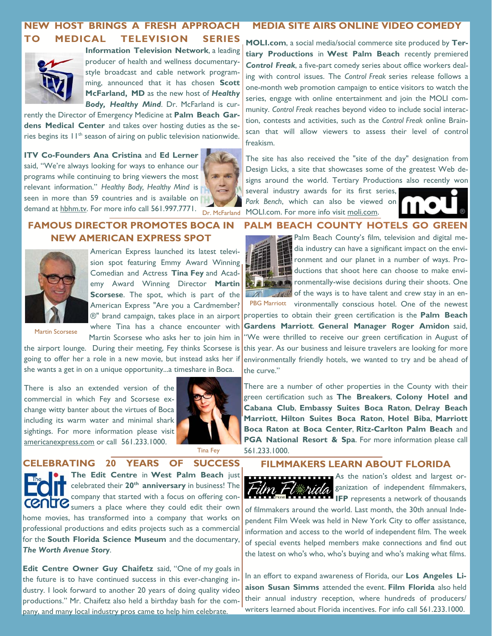#### **NEW HOST BRINGS A FRESH APPROACH TO MEDICAL TELEVISION SERIES MEDIA SITE AIRS ONLINE VIDEO COMEDY**



**Information Television Network**, a leading producer of health and wellness documentarystyle broadcast and cable network programming, announced that it has chosen **Scott McFarland, MD** as the new host of *Healthy Body, Healthy Mind*. Dr. McFarland is cur-

rently the Director of Emergency Medicine at **Palm Beach Gardens Medical Center** and takes over hosting duties as the series begins its  $11<sup>th</sup>$  season of airing on public television nationwide.

**ITV Co-Founders Ana Cristina and Ed Lerner** said, "We're always looking for ways to enhance our programs while continuing to bring viewers the most relevant information." *Healthy Body, Healthy Mind* is seen in more than 59 countries and is available on demand at hbhm.tv. For more info call 561.997.7771. Dr. McFarland



## **FAMOUS DIRECTOR PROMOTES BOCA IN NEW AMERICAN EXPRESS SPOT**



American Express launched its latest television spot featuring Emmy Award Winning Comedian and Actress **Tina Fey** and Academy Award Winning Director **Martin Scorsese**. The spot, which is part of the American Express "Are you a Cardmember? where Tina has a chance encounter with Martin Scorsese who asks her to join him in

Martin Scorsese

the airport lounge. During their meeting, Fey thinks Scorsese is going to offer her a role in a new movie, but instead asks her if she wants a get in on a unique opportunity...a timeshare in Boca.

There is also an extended version of the commercial in which Fey and Scorsese exchange witty banter about the virtues of Boca including its warm water and minimal shark sightings. For more information please visit americanexpress.com or call 561.233.1000.



**CELEBRATING 20 YEARS OF SUCCESS The Edit Centre** in **West Palm Beach** just celebrated their 20<sup>th</sup> anniversary in business! The company that started with a focus on offering con-CONTC sumers a place where they could edit their own home movies, has transformed into a company that works on professional productions and edits projects such as a commercial for the **South Florida Science Museum** and the documentary, *The Worth Avenue Story*.

**Edit Centre Owner Guy Chaifetz** said, "One of my goals in the future is to have continued success in this ever-changing industry. I look forward to another 20 years of doing quality video productions." Mr. Chaifetz also held a birthday bash for the company, and many local industry pros came to help him celebrate.

**MOLI.com**, a social media/social commerce site produced by **Tertiary Productions** in **West Palm Beach** recently premiered *Control Freak*, a five-part comedy series about office workers dealing with control issues. The *Control Freak* series release follows a one-month web promotion campaign to entice visitors to watch the series, engage with online entertainment and join the MOLI community. *Control Freak* reaches beyond video to include social interaction, contests and activities, such as the *Control Freak* online Brainscan that will allow viewers to assess their level of control freakism.

The site has also received the "site of the day" designation from Design Licks, a site that showcases some of the greatest Web designs around the world. Tertiary Productions also recently won several industry awards for its first series,

*Park Bench*, which can also be viewed on MOLI.com. For more info visit moli.com.



#### **PALM BEACH COUNTY HOTELS GO GREEN**



Palm Beach County's film, television and digital media industry can have a significant impact on the environment and our planet in a number of ways. Productions that shoot here can choose to make envi**rounded** ronmentally-wise decisions during their shoots. One  $\sim$  of the ways is to have talent and crew stay in an en-PBG Marriott vironmentally conscious hotel. One of the newest

®" brand campaign, takes place in an airport properties to obtain their green certification is the **Palm Beach Gardens Marriott**. **General Manager Roger Amidon** said, "We were thrilled to receive our green certification in August of this year. As our business and leisure travelers are looking for more environmentally friendly hotels, we wanted to try and be ahead of the curve."

> There are a number of other properties in the County with their green certification such as **The Breakers**, **Colony Hotel and Cabana Club**, **Embassy Suites Boca Raton**, **Delray Beach Marriott**, **Hilton Suites Boca Raton**, **Hotel Biba**, **Marriott Boca Raton at Boca Center**, **Ritz-Carlton Palm Beach** and **PGA National Resort & Spa.** For more information please call 561.233.1000.

#### **FILMMAKERS LEARN ABOUT FLORIDA**



As the nation's oldest and largest organization of independent filmmakers, **IFP** represents a network of thousands

of filmmakers around the world. Last month, the 30th annual Independent Film Week was held in New York City to offer assistance, information and access to the world of independent film. The week of special events helped members make connections and find out the latest on who's who, who's buying and who's making what films.

In an effort to expand awareness of Florida, our **Los Angeles Liaison Susan Simms** attended the event. **Film Florida** also held their annual industry reception, where hundreds of producers/ writers learned about Florida incentives. For info call 561.233.1000.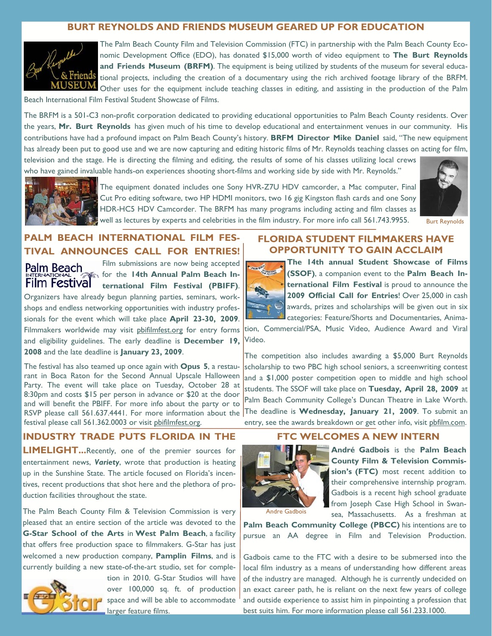#### **BURT REYNOLDS AND FRIENDS MUSEUM GEARED UP FOR EDUCATION**



The Palm Beach County Film and Television Commission (FTC) in partnership with the Palm Beach County Economic Development Office (EDO), has donated \$15,000 worth of video equipment to **The Burt Reynolds and Friends Museum (BRFM)**. The equipment is being utilized by students of the museum for several educational projects, including the creation of a documentary using the rich archived footage library of the BRFM. Other uses for the equipment include teaching classes in editing, and assisting in the production of the Palm

Beach International Film Festival Student Showcase of Films.

The BRFM is a 501-C3 non-profit corporation dedicated to providing educational opportunities to Palm Beach County residents. Over the years, **Mr. Burt Reynolds** has given much of his time to develop educational and entertainment venues in our community. His contributions have had a profound impact on Palm Beach County's history. **BRFM Director Mike Daniel** said, "The new equipment has already been put to good use and we are now capturing and editing historic films of Mr. Reynolds teaching classes on acting for film, television and the stage. He is directing the filming and editing, the results of some of his classes utilizing local crews

who have gained invaluable hands-on experiences shooting short-films and working side by side with Mr. Reynolds."



The equipment donated includes one Sony HVR-Z7U HDV camcorder, a Mac computer, Final Cut Pro editing software, two HP HDMI monitors, two 16 gig Kingston flash cards and one Sony HDR-HC5 HDV Camcorder. The BRFM has many programs including acting and film classes as well as lectures by experts and celebrities in the film industry. For more info call 561.743.9955.



Burt Reynolds

# **PALM BEACH INTERNATIONAL FILM FES-TIVAL ANNOUNCES CALL FOR ENTRIES!**

Palm Beach **Film Festival** 

Film submissions are now being accepted for the **14th Annual Palm Beach International Film Festival (PBIFF)**.

Organizers have already begun planning parties, seminars, workshops and endless networking opportunities with industry professionals for the event which will take place **April 23-30, 2009**. and eligibility guidelines. The early deadline is **December 19, 2008** and the late deadline is **January 23, 2009**.

The festival has also teamed up once again with **Opus 5**, a restaurant in Boca Raton for the Second Annual Upscale Halloween Party. The event will take place on Tuesday, October 28 at 8:30pm and costs \$15 per person in advance or \$20 at the door and will benefit the PBIFF. For more info about the party or to festival please call 561.362.0003 or visit pbifilmfest.org.

### **FLORIDA STUDENT FILMMAKERS HAVE OPPORTUNITY TO GAIN ACCLAIM**



**The 14th annual Student Showcase of Films (SSOF)**, a companion event to the **Palm Beach International Film Festival** is proud to announce the **2009 Official Call for Entries**! Over 25,000 in cash awards, prizes and scholarships will be given out in six categories: Feature/Shorts and Documentaries, Anima-

Filmmakers worldwide may visit <u>pbifilmfest.or</u>g for entry forms tion, Commercial/PSA, Music Video, Audience Award and Viral Video.

RSVP please call 561.637.4441. For more information about the The deadline is **Wednesday, January 21, 2009**. To submit an The competition also includes awarding a \$5,000 Burt Reynolds scholarship to two PBC high school seniors, a screenwriting contest and a \$1,000 poster competition open to middle and high school students. The SSOF will take place on **Tuesday, April 28, 2009** at Palm Beach Community College's Duncan Theatre in Lake Worth. entry, see the awards breakdown or get other info, visit pbfilm.com.

### **INDUSTRY TRADE PUTS FLORIDA IN THE**

**LIMELIGHT...**Recently, one of the premier sources for entertainment news, *Variety*, wrote that production is heating up in the Sunshine State. The article focused on Florida's incentives, recent productions that shot here and the plethora of production facilities throughout the state.

The Palm Beach County Film & Television Commission is very pleased that an entire section of the article was devoted to the **G-Star School of the Arts** in **West Palm Beach**, a facility that offers free production space to filmmakers. G-Star has just welcomed a new production company, **Pamplin Films**, and is currently building a new state-of-the-art studio, set for comple-



tion in 2010. G-Star Studios will have over 100,000 sq. ft. of production space and will be able to accommodate larger feature films.

#### **FTC WELCOMES A NEW INTERN**



**André Gadbois** is the **Palm Beach County Film & Television Commission's (FTC)** most recent addition to their comprehensive internship program. Gadbois is a recent high school graduate from Joseph Case High School in Swansea, Massachusetts. As a freshman at

Andre Gadbois

**Palm Beach Community College (PBCC)** his intentions are to pursue an AA degree in Film and Television Production.

Gadbois came to the FTC with a desire to be submersed into the local film industry as a means of understanding how different areas of the industry are managed. Although he is currently undecided on an exact career path, he is reliant on the next few years of college and outside experience to assist him in pinpointing a profession that best suits him. For more information please call 561.233.1000.